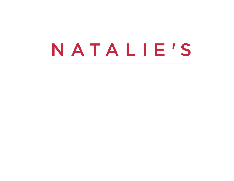# NATALIE'S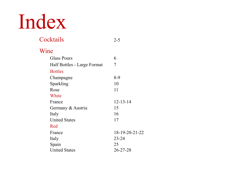# Index

| Cocktails                   | $2 - 5$        |
|-----------------------------|----------------|
| Wine                        |                |
| <b>Glass Pours</b>          | 6              |
| Half Bottles - Large Format | 7              |
| <b>Bottles</b>              |                |
| Champagne                   | $8-9$          |
| Sparkling                   | 10             |
| Rose                        | 11             |
| White                       |                |
| France                      | $12 - 13 - 14$ |
| Germany & Austria           | 15             |
| Italy                       | 16             |
| <b>United States</b>        | 17             |
| Red                         |                |
| France                      | 18-19-20-21-22 |
| Italy                       | $23 - 24$      |
| Spain                       | 25             |
| <b>United States</b>        | $26 - 27 - 28$ |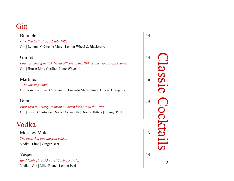### Gin

#### Bramble 14

*Dick Bradsell, Fred's Club, 1984* Gin | Lemon | Crème de Mure | Lemon Wheel & Blackberry

#### Gimlet 14

*Popular among British Naval officers in the 19th century to prevent scurvy.* Gin | House Lime Cordial | Lime Wheel

#### Martinez 16

#### *"The Missing Link"*

Old Tom Gin | Sweet Vermouth | Luxardo Maraschino | Bitters |Orange Peel

#### Bijou 14

*First seen in "Harry Johnson's Bartender's Manual in 1990* Gin | Green Chartreuse | Sweet Vermouth | Orange Bitters | Orange Peel

### Vodka

Moscow Mule 13 *The buck that popularized vodka.* Vodka | Lime | Ginger Beer

Vesper 14

*Ian Fleming's 1953 novel Casino Royale.* Vodka | Gin | Lillet Blanc | Lemon Peel

2 Classic Cocktails OISSE Cocktails  $\overline{2}$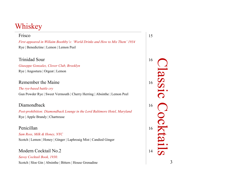### Whiskey

#### Frisco 15 *First appeared in Willaim Boothby's: 'World Drinks and How to Mix Them' 1934* Rye | Benedictine | Lemon | Lemon Peel

Trinidad Sour 16

*Giuseppe Gonzalez, Clover Club, Brooklyn* Rye | Angostura | Orgeat | Lemon

#### Remember the Maine 16

#### *The rye-based battle cry* Gun Powder Rye | Sweet Vermouth | Cherry Herring | Absinthe | Lemon Peel

#### Diamondback 16

*Post-prohibition: Diamondback Lounge in the Lord Baltimore Hotel, Maryland* Rye | Apple Brandy | Chartreuse

#### Penicillan 16

*Sam Ross, Milk & Honey, NYC* Scotch | Lemon | Honey | Ginger | Laphroaig Mist | Candied Ginger

#### Modern Cocktail No.2 14 *Savoy Cocktail Book, 1930.*  Scotch | Sloe Gin | Absinthe | Bitters | House Grenadine

Classic Cocktails assi 3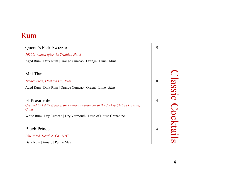### Rum

| Queen's Park Swizzle                                                                                  | 15 |
|-------------------------------------------------------------------------------------------------------|----|
| 1920's, named after the Trinidad Hotel                                                                |    |
| Aged Rum   Dark Rum   Orange Curacao   Orange   Lime   Mint                                           |    |
| Mai Thai                                                                                              |    |
| Trader Vic's, Oakland CA, 1944                                                                        | 16 |
| Aged Rum   Dark Rum   Orange Curacao   Orgeat   Lime   Mint                                           |    |
| El Presidente<br>Created by Eddie Woelke, an American bartender at the Jockey Club in Havana,<br>Cuba | 14 |
| White Rum   Dry Curacao   Dry Vermouth   Dash of House Grenadine                                      |    |
| <b>Black Prince</b>                                                                                   | 14 |
| Phil Ward, Death & Co., NYC                                                                           |    |
| Dark Rum   Amaro   Punt e Mes                                                                         |    |

Classic Cocktails 4Classic Cocktails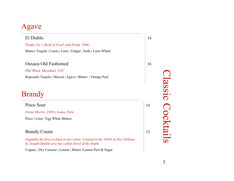### Agave



Cognac | Dry Curacao | Lemon | Bitters |Lemon Peel & Sugar

5Classic Cocktails Classic Cocktails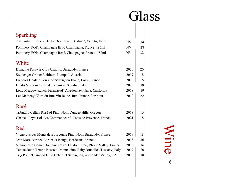# Glass

| <b>Sparkling</b>                                                      |           |    |
|-----------------------------------------------------------------------|-----------|----|
| Ca' Furlan Prosecco, Extra Dry 'Cuvee Beatrice', Veneto, Italy        | NV        | 14 |
| Pommery 'POP', Champagne Brut, Champagne, France 187ml                | <b>NV</b> | 28 |
| Pommery 'POP', Champagne Rosé, Champagne, France 187ml                | <b>NV</b> | 32 |
| White                                                                 |           |    |
| Domaine Passy le Clou Chablis, Burgundy, France                       | 2020      | 20 |
| Steinenger Gruner Veltiner, Kemptal, Austria                          | 2017      | 18 |
| Francois Chidain Touraine Sauvignon Blanc, Loire, France              | 2019      | 16 |
| Feudo Montoni Grillo della Timpa, Scicilia, Italy                     | 2020      | 18 |
| Long Meadow Ranch 'Farmstead' Chardonnay, Napa, California            | 2018      | 19 |
| Les Matheny Côtes du Jura Vin Jaune, Jura, France, 2oz pour           | 2012      | 20 |
| Rosé                                                                  |           |    |
| Tributary Cellars Rosé of Pinot Noir, Dundee Hills, Oregon            | 2018      | 16 |
| Chateau Peyrassol 'Les Commandeurs', Côtes de Provence, France        | 2021      | 18 |
| Red                                                                   |           |    |
| Vignerons des Monts de Bourgogne Pinot Noir, Burgundy, France         | 2019      | 18 |
| Jean Marc Barthez Bordeaux Rouge, Bordeaux, France                    | 2018      | 16 |
| Vignobles Assémat Domaine Castel Oualou Lirac, Rhone Valley, France   | 2016      | 16 |
| Tenuta Buon Tempo Rosso di Montalcino 'Baby Brunello', Tuscany, Italy | 2019      | 20 |
| Trig Point 'Diamond Dust' Cabernet Sauvignon, Alexander Valley, CA    | 2018      | 18 |
|                                                                       |           |    |

6Wine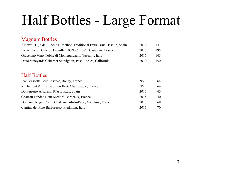### Half Bottles - Large Format

#### Magnum Bottles

| Ameztoi 'Hijo de Rubentis' Method Traditional Extra Brut, Basque, Spain | 2016 | 147  |
|-------------------------------------------------------------------------|------|------|
| Pierre Cotton Cote de Brouilly '100% Cotton', Beaujolais, France        | 2018 | 195  |
| Gracciano Vino Nobile di Montepulciano, Tuscany, Italy                  | 2017 | 145  |
| Dauo Vineyards Cabernet Sauvignon, Paso Robles, California              | 2019 | 150. |

#### Half Bottles

| Jean Vesselle Brut Réserve, Bouzy, France                  | NV   | 64  |
|------------------------------------------------------------|------|-----|
| R. Dumont & Fils Tradition Brut, Champagne, France         | NV   | 64  |
| Do Ferreiro Albarino, Rîas Biaxas, Spain                   | 2017 | 45  |
| Chateau Landat 'Haut-Medoc', Bordeaux, France              | 2018 | 40  |
| Domaine Roger Perrin Chateauneuf-du-Pape, Vaucluse, France | 2018 | 68  |
| Cantina del Pino Barbaresco, Piedmont, Italy               | 2017 | 70. |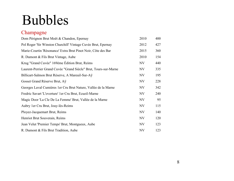### Bubbles

### Champagne

| Dom Pérignon Brut Moët & Chandon, Epernay                        | 2010      | 400 |
|------------------------------------------------------------------|-----------|-----|
| Pol Roger 'Sir Winston Churchill' Vintage Cuvée Brut, Epernay    | 2012      | 427 |
| Marie-Courtin 'Résonance' Extra Brut Pinot Noir, Côte des Bar    | 2015      | 360 |
| R. Dumont & Fils Brut Vintage, Aube                              | 2010      | 154 |
| Krug "Grand Cuvée" 169ème Édition Brut, Reims                    | NV        | 440 |
| Laurent-Perrier Grand Cuvée "Grand Siècle" Brut, Tours-sur-Marne | NV        | 335 |
| Billicart-Salmon Brut Rèserve, A Mareuil-Sur-Aÿ                  | NV        | 195 |
| Gosset Grand Réserve Brut, Aÿ                                    | NV        | 228 |
| Georges Laval Cumières 1 er Cru Brut Nature, Vallée de la Marne  | NV        | 342 |
| Fredric Savart 'L'overture' 1 er Cru Brut, Ecueil-Marne          | NV        | 240 |
| Magic Door 'La Cle De La Femme' Brut, Vallée de la Marne         | NV        | 95  |
| Aubry 1 er Cru Brut, Jouy-lès-Reims                              | <b>NV</b> | 115 |
| Ployez-Jacquemart Brut, Reims                                    | <b>NV</b> | 140 |
| Henriot Brut Souverain, Reims                                    | NV        | 120 |
| Jean Velut 'Premier Temps' Brut, Montgueux, Aube                 | <b>NV</b> | 123 |
| R. Dumont & Fils Brut Tradition, Aube                            | <b>NV</b> | 123 |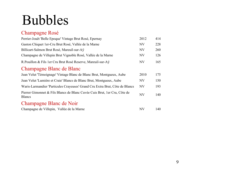# Bubbles

#### Champagne Rosé

| Perrier-Jouët 'Belle Epoque' Vintage Brut Rosé, Epernay                                     | 2012      | 414 |
|---------------------------------------------------------------------------------------------|-----------|-----|
| Gaston Chiquet 1 er-Cru Brut Rosé, Vallée de la Marne                                       | <b>NV</b> | 228 |
| Billicart-Salmon Brut Rosé, Mareuil-sur-Aÿ                                                  | <b>NV</b> | 260 |
| Champagne de Villepin Brut Vignoble Rosé, Vallée de la Marne                                | NV        | 126 |
| R. Pouillon & Fils 1 er Cru Brut Rosé Reserve, Mareuil-sur-Aÿ                               | <b>NV</b> | 165 |
| Champagne Blanc de Blanc                                                                    |           |     |
| Jean Velut 'Témoignage' Vintage Blanc de Blanc Brut, Montgueux, Aube                        | 2010      | 175 |
| Jean Velut 'Lumière et Craie' Blancs de Blanc Brut, Montgueux, Aube                         | NV        | 150 |
| Waris-Larmandier 'Particules Crayeuses' Grand Cru Extra Brut, Côte de Blancs                | <b>NV</b> | 193 |
| Pierrer Gimonnet & Fils Blancs de Blanc Cuvée Cuis Brut, 1 er Cru, Côte de<br><b>Blancs</b> | <b>NV</b> | 140 |
| Champagne Blanc de Noir                                                                     |           |     |

| Champagne de Villepin, Vallée de la Marne | NV | 140 |
|-------------------------------------------|----|-----|
|-------------------------------------------|----|-----|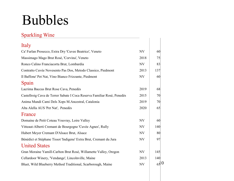### Bubbles

#### Sparkling Wine

| Italy                                                                   |           |     |
|-------------------------------------------------------------------------|-----------|-----|
| Ca' Furlan Prosecco, Extra Dry 'Cuvee Beatrice', Veneto                 | NV        | 60  |
| Massimago Mago Brut Rosé, 'Corvina', Veneto                             | 2018      | 75  |
| Ronco Calino Franciacorta Brut, Lombardia                               | <b>NV</b> | 83  |
| Contratto Cuvée Novesento Pas Dos, Metodo Classico, Piedmont            | 2013      | 137 |
| Il Baffone' Pet Nat, Vino Bianco Frizzante, Piedmont                    | <b>NV</b> | 60  |
| Spain                                                                   |           |     |
| Lacrima Baccus Brut Rose Cava, Penedès                                  | 2019      | 68  |
| Castellroig Cava de Terrer Sabate I Coca Reserva Familiar Rosé, Penedès | 2015      | 70  |
| Anima Mundi Cami Dels Xops M.Ancestral, Catalonia                       | 2019      | 70  |
| Alta Alella AUS 'Pet Nat', Penedès                                      | 2020      | 65  |
| France                                                                  |           |     |
| Domaine de Petit Coteau Vouvray, Loire Valley                           | NV        | 60  |
| Vitteaut-Alberti Cremant de Bourgogne 'Cuvée Agnes', Rully              | NV        | 140 |
| Hubert Meyer Cremant D'Alsace Brut, Alsace                              | NV        | 80  |
| Bénédict et Stéphane Tissot 'Indigene' Extra Brut, Cremant du Jura      | NV        | 97  |
| <b>United States</b>                                                    |           |     |
| Gran Moraine Yamill-Carlton Brut Rosé, Willamette Valley, Oregon        | NV        | 145 |
| Cellardoor Winery, 'Vendange', Lincolnville, Maine                      | 2013      | 140 |
| Bluet, Wild Blueberry Method Traditional, Scarborough, Maine            | <b>NV</b> | 650 |
|                                                                         |           |     |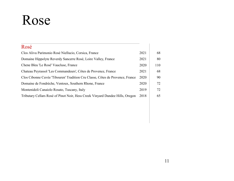### Rose

| Rosé                                                                          |      |     |
|-------------------------------------------------------------------------------|------|-----|
| Clos Alivu Parimonio Rosé Niellucio, Corsica, France                          | 2021 | 68  |
| Domaine Hippolyte Reverdy Sancerre Rosé, Loire Valley, France                 | 2021 | 80  |
| Chene Bleu 'Le Rosé' Vaucluse, France                                         | 2020 | 110 |
| Chateau Peyrassol 'Les Commandeurs', Côtes de Provence, France                | 2021 | 68  |
| Clos Cibonne Cuvée 'Tibouren' Tradition Cru Classe, Côtes de Provence, France | 2020 | 90  |
| Domaine de Fondrèche, Ventoux, Southern Rhone, France                         | 2020 | 72  |
| Montenidoli Canaiolo Rosato, Tuscany, Italy                                   | 2019 | 72  |
| Tributary Cellars Rosé of Pinot Noir, Hess Creek Vinyard Dundee Hills, Oregon | 2018 | 65  |
|                                                                               |      |     |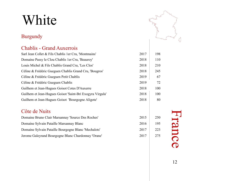#### Burgundy

#### Chablis - Grand Auxerrois

| Sarl Jean Collet & Fils Chablis 1 er Cru, 'Montmains'     | 2017 | 198 |
|-----------------------------------------------------------|------|-----|
| Domaine Passy le Clou Chablis 1 er Cru, 'Beauroy'         | 2018 | 110 |
| Louis Michel & Fils Chablis Grand Cru, 'Les Clos'         | 2018 | 210 |
| Céline & Frédéric Gueguen Chablis Grand Cru, 'Bougros'    | 2018 | 245 |
| Céline & Frédéric Gueguen Petit Chablis                   | 2019 | 67  |
| Céline & Frédéric Gueguen Chablis                         | 2019 | 72  |
| Guilhem et Jean-Hugues Goisot Cotes D'Auxerre             | 2018 | 100 |
| Guilhem et Jean-Hugues Goisot 'Saint-Bri Exogyra Virgula' | 2018 | 100 |
| Guilhem et Jean-Hugues Goisot 'Bourgogne Aligote'         | 2018 | 80  |

#### Côte de Nuits

| Domaine Bruno Clair Marsannay 'Source Des Roches'    | 2015 | 250 |
|------------------------------------------------------|------|-----|
| Domaine Sylvain Pataille Marsannay Blanc             | 2016 | 195 |
| Domaine Sylvain Pataille Bourgogne Blanc 'Mechalots' | 2017 | 223 |
| Jerome Galeyrand Bourgogne Blanc Chardonnay 'Orane'  | 2017 | 275 |



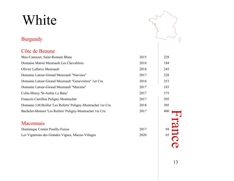#### Burgundy

#### Côte de Beaune



| Meo-Camuzet, Saint-Romain Blanc                                | 2015 | 228 |
|----------------------------------------------------------------|------|-----|
| Domaine Matrot Meursault Les Chevalières                       | 2018 | 184 |
| <b>Olivier Laflaive Meursault</b>                              | 2018 | 245 |
| Domaine Latour-Giraud Meursault "Narvaux"                      | 2017 | 228 |
| Domaine Latour-Giraud Meursault "Genevrières" 1 er Cru         | 2016 | 253 |
| Domaine Latour-Giraud Meursault "Maxime"                       | 2017 | 183 |
| Colin-Morey 'St-Aubin Le Banc'                                 | 2017 | 375 |
| Francois Carrillon Puligny-Montrachet                          | 2017 | 205 |
| Domaine J.M. Boillot 'Les Referts' Puligny-Montrachet 1 er Cru | 2018 | 305 |
| Bachelet-Monnot 'Les Referts' Puligny-Montrachet 1 er Cru      | 2017 | 400 |
|                                                                |      |     |
| Maconpaig                                                      |      |     |

| <u>iviaculinais</u>                              |      |  |
|--------------------------------------------------|------|--|
| Dominique Cornin Pouilly-Fuisse                  | 2017 |  |
| Les Vignerons des Grandes Vignes, Macon-Villages | 2020 |  |



 $\frac{94}{65}$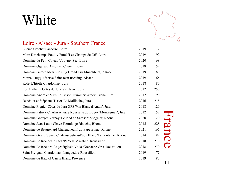

#### Loire - Alsace - Jura - Southern France

| Lucien Crochet Sancerre, Loire                                        | 2019 | 112 |             |
|-----------------------------------------------------------------------|------|-----|-------------|
| Marc Deschamps Pouilly Fumé 'Les Champs de Cri', Loire                | 2019 | 92  |             |
| Domaine du Petit Coteau Vouvray Sec, Loire                            | 2020 | 68  |             |
| Domaine Ogereau Anjou en Chenin, Loire                                | 2018 | 152 |             |
| Domaine Gerard Metz Riesling Grand Cru Munchburg, Alsace              | 2019 | 89  |             |
| Marcel Hugg Réserve Saint Jean Riesling, Alsace                       | 2019 | 65  |             |
| Rolet L'Étoile Chardonnay, Jura                                       | 2018 | 80  |             |
| Les Matheny Côtes du Jura Vin Jaune, Jura                             | 2012 | 250 |             |
| Domaine André et Mireille Tissot 'Traminer' Arbois Blanc, Jura        | 2017 | 190 |             |
| Bénédict et Stéphane Tissot 'La Mailloche', Jura                      | 2016 | 215 |             |
| Domaine Pignier Côtes du Jura GPS 'Vin Blanc d'Antan', Jura           | 2018 | 120 |             |
| Domaine Patrick Charlin Altesse Roussette du Bugey 'Montagnieu', Jura | 2012 | 152 |             |
| Domaine Georges Vernay 'Le Pied de Samson' Viognier, Rhone            | 2020 | 120 |             |
| Domaine Jean-Louis Chave Hermitage Blanche, Rhone                     | 2015 | 228 |             |
| Domaine de Beaurenard Chateauneunf-du-Pape Blanc, Rhone               | 2021 | 167 |             |
| Domaine Grand Veneu Chateauneuf-du-Pape Blanc 'La Fontaine', Rhone    | 2014 | 182 | <b>Nanc</b> |
| Domaine Le Roc des Anges 'Pi Vell' Macabeo, Roussillon                | 2018 | 270 |             |
| Domaine Le Roc des Anges 'Iglesia Vella' Grenache Gris, Roussillon    | 2018 | 270 |             |
| Saint Preignan Chardonnay, Languedoc-Roussillon                       | 2019 | 72  |             |
| Domaine du Bagnol Cassis Blanc, Provence                              | 2019 | 83  |             |
|                                                                       |      |     | 14          |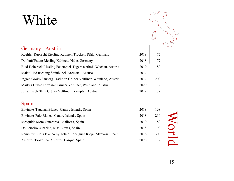

#### Germany - Austria Koehler-Ruprecht Riesling Kabinett Trocken, Pfalz, Germany 2019 72 Donhoff Estate Riesling Kabinett, Nahe, Germany 2018 77 Ried Hohereck Riesling Federspiel 'Tegernseerhof', Wachau, Austria 2019 80 Malat Ried Riesling Steinbuhel, Kremstal, Austria 2017 174 Ingred Groiss Sauberg Tradition Gruner Veltliner, Weinland, Austria 2017 200 Markus Huber Terrassen Grüner Veltliner, Weinland, Austria 2020 72 Jurtschitsch Stein Grüner Veltliner, Kamptal, Austria 2019 72

#### Spain

| Envinate 'Taganan Blanco' Canary Islands, Spain                  | 2018 | 168 |  |
|------------------------------------------------------------------|------|-----|--|
| Envinate 'Palo Blanco' Canary Islands, Spain                     | 2018 | 210 |  |
| Mesquida Mora 'Sincronia', Mallorca, Spain                       | 2019 | 80  |  |
| Do Ferreiro Albarino, Rîas Biaxas, Spain                         | 2018 | 90  |  |
| Remelluri Rioja Blanco by Telmo Rodriguez Rioja, Alvavesa, Spain | 2016 | 300 |  |
| Ameztoi Txakolina 'Ameztoi' Basque, Spain                        | 2020 | 72  |  |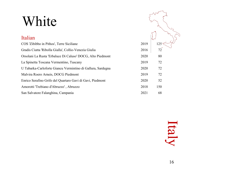#### Italian

| COS 'Zibibbo in Pithos', Terre Siciliane                    | 2019 | 125 |
|-------------------------------------------------------------|------|-----|
| Gradis Ciutta 'Ribolla Gialla', Collio-Venezia Giulia       | 2016 | 72  |
| Orsolani La Rusta 'Erbaluce Di Caluso' DOCG, Alto Piedmont  | 2020 | 80  |
| La Spinetta Toscana Vermentino, Tuscany                     | 2019 | 72  |
| U Tabarka-Carloforte Giancu Vermintino di Gallura, Sardegna | 2020 | 72  |
| Malvira Roero Arneis, DOCG Piedmont                         | 2019 | 72  |
| Enrico Serafino Grifo del Quartaro Gavi di Gavi, Piedmont   | 2020 | 52  |
| Amorotti 'Trebiano d'Abruzzo', Abruzzo                      | 2018 | 150 |
| San Salvatore Falanghina, Campania                          | 2021 | 68  |

Italy

 $\sum_{i=1}^{n}$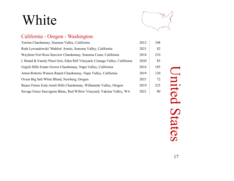

#### California - Oregon - Washington

| Terrien Chardonnay, Sonoma Valley, California                                | 2012 | 108 |
|------------------------------------------------------------------------------|------|-----|
| Ruth Lewandowski 'Mahlon' Arneis, Sonoma Valley, California                  | 2021 | 82  |
| Wayfarer Fort Ross-Seaview Chardonnay, Sonoma Coast, California              | 2018 | 210 |
| I. Brand & Family Pinot Gris, Eden Rift Vineyard, Cienaga Valley, California | 2020 | 85  |
| Grgich Hills Estate Grown Chardonnay, Napa Valley, California                | 2016 | 185 |
| Arnot-Roberts Watson Ranch Chardonnay, Napa Valley, California               | 2019 | 120 |
| Ovum Big Salt White Blend, Newberg, Oregon                                   | 2021 | 72  |
| Beaux Frères Eola-Amiti Hills Chardonnay, Willamette Valley, Oregon          | 2019 | 225 |
| Savage Grace Sauvignon Blanc, Red Willow Vineyard, Yakima Valley, WA         | 2021 | 80  |

United States nited States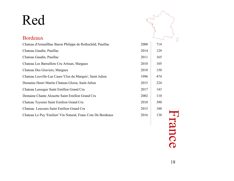| ڟ    |     |
|------|-----|
| 2000 | 714 |
| 2014 | 129 |
| 2011 | 165 |
| 2018 | 105 |
| 2018 | 150 |
| 1996 | 474 |
| 2015 | 224 |
| 2017 | 143 |
| 2002 | 110 |
| 2010 | 390 |
| 2015 | 100 |
| 2016 | 138 |
|      |     |

#### Bordeaux

| Chateau d'Armaillhac Baron Philippe de Rothschild, Pauillac  | 2000 | 714 |
|--------------------------------------------------------------|------|-----|
| Chateau Gaudin, Pauillac                                     | 2014 | 129 |
| Chateau Gaudin, Pauillac                                     | 2011 | 165 |
| Chateau Les Barraillots Cru Artisan, Margaux                 | 2018 | 105 |
| Chateau Des Graviers, Margaux                                | 2018 | 150 |
| Chateau Leoville-Las Cases 'Clos du Marquis', Saint Julien   | 1996 | 474 |
| Domaine Henri Martin Chateau Gloria, Saint Julien            | 2015 | 224 |
| Chateau Lassegue Saint Emillon Grand Cru                     | 2017 | 143 |
| Domaine Chante Alouette Saint Emillon Grand Cru              | 2002 | 110 |
| Chateau Teyssier Saint Emilion Grand Cru                     | 2010 | 390 |
| Chateau Lescours Saint Emilion Grand Cru                     | 2015 | 100 |
| Chateau Le Puy 'Emilien' Vin Natural, Franc Cote De Bordeaux | 2016 | 138 |

ance

18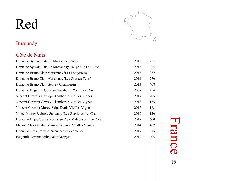#### Burgundy

#### Côte de Nuits

| Domaine Sylvain Pataille Marsannay Rouge               | 2018 | 205 |
|--------------------------------------------------------|------|-----|
| Domaine Sylvain Pataille Marsannay Rouge 'Clos du Roy' | 2018 | 320 |
| Domaine Bruno Clair Marsannay 'Les Longeroies'         | 2016 | 282 |
| Domaine Bruno Clair Marsannay 'Les Grasses Tetes'      | 2014 | 270 |
| Domaine Bruno Clair Gevrey-Chambertin                  | 2013 | 468 |
| Domaine Dugat Py Gevrey-Chambertin 'Coeur de Roy'      | 2007 | 954 |
| Vincent Girardin Gevrey-Chambertin Vieilles Vignes     | 2017 | 205 |
| Vincent Girardin Gevrey-Chambertin Vieilles Vignes     | 2018 | 185 |
| Vincent Girardin Morey-Saint-Denis Vieilles Vignes     | 2017 | 183 |
| Vincet Morey & Sopie Santenay 'Les Gravieres' 1 er Cru | 2019 | 150 |
| Domaine Dujac Vosne-Romanee 'Aux Malconsorts' 1 er Cru | 2017 | 600 |
| Maison Alex Gambal Vosne-Romanee Vieilles Vignes       | 2014 | 462 |
| Domaine Gros Freres & Sceur Vosne-Romanee              | 2017 | 315 |
| Benjamin Leroux Nuits Saint Georges                    | 2017 | 405 |



# France 19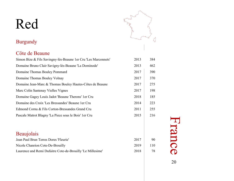

#### Burgundy

#### Côte de Beaune

| Simon Bize & Fils Savingny-lès-Beaune 1 er Cru 'Les Marconnets' | 2013 | 384 |
|-----------------------------------------------------------------|------|-----|
| Domaine Bruno Clair Savigny-lès-Beaune 'La Dominode'            | 2013 | 462 |
| Domaine Thomas Bouley Pommard                                   | 2017 | 390 |
| Domaine Thomas Bouley Volnay                                    | 2017 | 370 |
| Domaine Jean-Marc & Thomas Bouley Hautes-Côtes de Beaune        | 2017 | 275 |
| Marc Colin Santenay Vielles Vignes                              | 2017 | 198 |
| Domaine Gagey Louis Jadot 'Beaune Therons' 1 er Cru             | 2018 | 185 |
| Domaine des Croix 'Les Bressandes' Beaune 1 er Cru              | 2014 | 223 |
| Edmond Cornu & Fils Corton-Bressandes Grand Cru                 | 2011 | 255 |
| Pascale Matrot Blagny 'La Piece sous le Bois' 1 er Cru          | 2015 | 216 |
| Beaujolais                                                      |      |     |
| Jean Paul Brun Terres Dores 'Fleurie'                           | 2017 | 90  |
| Nicole Chanrion Cote-De-Brouilly                                | 2019 | 110 |
| Laurence and Remi Dufaitre Cote-de-Brouilly 'Le Millesime'      | 2018 | 78  |

France 20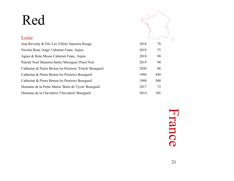### Loire

| Jean Reverdy & Fils 'Les Villots' Sancerre Rouge           | 2018 | 70  |
|------------------------------------------------------------|------|-----|
| Nicolas Reau 'Ange' Cabernet Franc, Anjou                  | 2019 | 75  |
| Agnes & Rene Mosse Cabernet Franc, Anjou                   | 2018 | 90  |
| Patrick Noel Menetou-Salon 'Morogues' Pinot Noir           | 2019 | 90  |
| Catherine & Pierre Breton les Perrieres 'Trinch' Bourgueil | 2020 | 80  |
| Catherine & Pierre Breton les Perrieres Bourgueil          | 1994 | 450 |
| Catherine & Pierre Breton les Perrieres Bourgueil          | 1988 | 500 |
| Domaine de la Petite Mairie 'Butte de Tyron' Bourgueil     | 2017 | 72  |
| Domaine de la Chevalerie 'Chevalerie' Bourgueil            | 2014 | 105 |

France

 $\begin{picture}(220,20) \put(0,0){\dashbox{0.5}(5,0){ }} \put(15,0){\dashbox{0.5}(5,0){ }} \put(15,0){\dashbox{0.5}(5,0){ }} \put(15,0){\dashbox{0.5}(5,0){ }} \put(15,0){\dashbox{0.5}(5,0){ }} \put(15,0){\dashbox{0.5}(5,0){ }} \put(15,0){\dashbox{0.5}(5,0){ }} \put(15,0){\dashbox{0.5}(5,0){ }} \put(15,0){\dashbox{0.5}(5,0){ }} \put(15,0){\dashbox{0.5}(5,0){$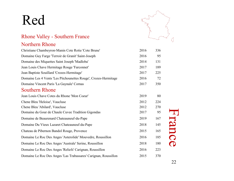

#### Rhone Valley - Southern France

#### Northern Rhone

| Christiane Chambeyron-Manin Cote Rotie 'Cote Brune'             | 2016 | 336 |        |
|-----------------------------------------------------------------|------|-----|--------|
| Domaine Guy Farge 'Terroir de Granit' Saint-Joseph              | 2016 | 95  |        |
| Domaine des Miquettes Saint Joseph 'Madloba'                    | 2014 | 131 |        |
| Jean Louis Chave Hermitage Rouge 'Farconnet'                    | 2017 | 189 |        |
| Jean Baptiste Souillard 'Crozes-Hermitage'                      | 2017 | 225 |        |
| Domaine Les 4 Vents 'Les Pitchounettes Rouge', Crozes-Hermitage | 2016 | 72  |        |
| Domaine Vincent Paris 'La Gaynale' Cornas                       | 2017 | 350 |        |
| <b>Southern Rhone</b>                                           |      |     |        |
| Jean Louis Chave Cotes du Rhone 'Mon Coeur'                     | 2019 | 80  |        |
| Chene Bleu 'Heloise', Vaucluse                                  | 2012 | 224 |        |
| Chene Bleu 'Abilard', Vaucluse                                  | 2012 | 270 |        |
| Domaine du Gour de Chaule Cuvee Tradition Gigondas              | 2017 | 95  |        |
| Domaine de Beaurenard Chateauneuf-du-Pape                       | 2019 | 167 | France |
| Domaine Du Vieux Lazaret Chateauneuf-du-Pape                    | 2018 | 145 |        |
| Chateau de Pibernon Bandol Rouge, Provence                      | 2015 | 165 |        |
| Domaine Le Roc Des Anges 'Asterolide' Mouvedre, Roussillon      | 2016 | 185 |        |
| Domaine Le Roc Des Anges 'Australe' Serine, Roussillon          | 2018 | 180 |        |
| Domaine Le Roc Des Anges 'Reliefs' Carignan, Roussillon         | 2016 | 223 |        |
| Domaine Le Roc Des Anges 'Las Trabassares' Carignan, Roussillon | 2015 | 370 |        |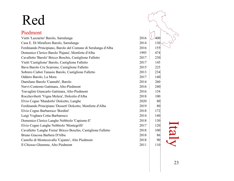#### Italy Piedmont Vietti 'Lazzarito' Barolo, Sarralunga 2016  $\sqrt{400}$ Casa E. Di Mirafiore Barolo, Sarralunga 2014 130 Ferdinando Principiano, Barolo del Comune di Seralunga d'Alba 2016 | 155 Domenico Clerico Barolo 'Pajana', Monforte d'Alba 1995 1995 474 Cavalletto 'Barolo' Bricco Boschis, Castiglione Falletto 2017 230 Vietti 'Castiglione' Barolo, Castiglione Falletto 2017 145 Bava Barolo Cru Scarrone, Castiglione Falletto 2015 225 Sobrero Ciabot Tanasio Barolo, Castiglione Falletto 2013 234 Oddero Barolo, La Mora 2017 140 Damilano Barolo 'Cannubi', Barolo 2014 260 Nervi-Conterno Gattinara, Alto-Piedmont 2016 240 Travaglini Giancarlo Gattinara, Alto-Piedmont 2016 154 Roccheviberti 'Vigna Melera', Dolcetto d'Alba 2018 100 Elvio Cogno 'Mandorlo' Dolcetto, Langhe 2020 2020 80 Ferdinando Principiano 'Dossett' Dolcetto, Monforte d'Alba 2019 | 80 Elvio Cogno Barbaresco 'Bordini' 2018 172 Luigi Voghara Cotta-Barbaresco 2014 140 Domenico Clerico Langhe Nebbiolo 'Capisme-E' 2018 130 Elvio Cogno Langhe Nebbiolo 'Montegrilli' 2017 120 Cavalletto 'Langhe Freisa' Bricco Boschis, Castiglione Falletto 2018 | 100 Bruno Giacosa Barbera D'Alba 2018 86 Castello di Montecavallo 'Cajanto', Alto Piedmont 2018 90 Il Chiosso Ghemme, Alto Piedmont 2011 110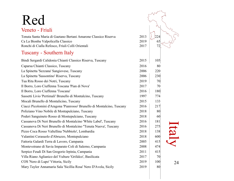| 17 C U                                                                  |      |     |            |
|-------------------------------------------------------------------------|------|-----|------------|
| Veneto - Friuli                                                         |      |     |            |
| Tenuta Santa Maria di Gaetano Bertani Amarone Classico Riserva          | 2013 | 224 |            |
| Ca La Bionba Valpolicella Classico                                      | 2019 | 65  |            |
| Ronchi di Cialla Refosco, Friuli Colli Orientali                        | 2017 | 72  |            |
| <b>Tuscany - Southern Italy</b>                                         |      |     |            |
| Bindi Sergardi Calidonia Chianti Classico Riserva, Tuscany              | 2015 | 105 |            |
| Caparsa Chianti Classico, Tuscany                                       | 2016 | 80  |            |
| La Spinetta 'Sezzana' Sangiovese, Tuscany                               | 2006 | 220 |            |
| La Spinetta 'Sassontino' Riserva, Tuscany                               | 2006 | 230 |            |
| Tua Rita Rosso dei Notri, Tuscany                                       | 2019 | 70  |            |
| Il Borro, Loro Ciuffenna Toscana 'Pian di Nova'                         | 2017 | 70  |            |
| Il Borro, Loro Ciuffenna 'Toscana'                                      | 2016 | 180 |            |
| Sassetti Livio 'Pertimali' Brunello di Montalcino, Tuscany              | 1997 | 774 |            |
| Mocali Brunello di Montalicino, Tuscany                                 | 2015 | 133 |            |
| Ciacci Picolomini d'Aragona 'Pianrosso' Brunello di Montalcino, Tuscany | 2016 | 217 |            |
| Poliziano Vino Nobile di Montapulciano, Tuscany                         | 2018 | 80  |            |
| Poderi Sanguineto Rosso di Montepulciano, Tuscany                       | 2018 | 60  |            |
| Cassanova Di Neri Brunello di Montalcino 'White Label', Tuscany         | 2016 | 181 |            |
| Cassanova Di Neri Brunello di Montalcino "Tenuta Nuova', Tuscany        | 2016 | 275 |            |
| Pizzo Coca Rosso Valtellina 'Nebbiolo', Lombardia                       | 2018 | 138 | <u>tal</u> |
| Valantini Cerasuolo d'Abruzzo, Montepulciano                            | 2018 | 600 |            |
| Fattoria Galardi Terra di Lavoro, Campania                              | 2005 | 415 |            |
| Montevetrano di Savia Imparato Coli di Salerno, Campania                | 2008 | 474 |            |
| Serpico Feudi Di San Gregorio Irpinia, Campania                         | 2011 | 415 |            |
| Villa Riano Aglianico del Vulture 'Grifalco', Basilicata                | 2017 | 70  |            |
| COS 'Nero di Lupo' Vittoria, Sicily                                     | 2019 | 100 | 24         |
| Mary Taylor Annamaria Sala 'Sicillia Rosa' Nero D'Avola, Sicily         | 2019 | 80  |            |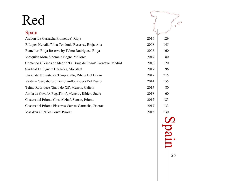| Red                                                            |      |     |  |
|----------------------------------------------------------------|------|-----|--|
| Spain                                                          |      |     |  |
| Aradon 'La Garnacha Prometida', Rioja                          | 2016 | 129 |  |
| R.Lopez Heredia 'Vina Tondonia Reserva', Rioja-Alta            | 2008 | 145 |  |
| Remelluri Rioja Reserva by Telmo Rodriguez, Rioja              | 2006 | 160 |  |
| Mesquida Mora Sincronia Negre, Mallorca                        | 2019 | 80  |  |
| Comando G Vinos de Madrid 'La Bruja de Rozas' Garnatxa, Madrid | 2018 | 120 |  |
| Sindicat La Figuera Garnatxa, Monstant                         | 2017 | 96  |  |
| Hacienda Monasterio, Tempranillo, Ribera Del Duero             | 2017 | 215 |  |
| Valderiz 'Juegabolos', Tempranillo, Ribera Del Duero           | 2014 | 155 |  |
| Telmo Rodriquez 'Gabo do Xil', Mencia, Galicia                 | 2017 | 80  |  |
| Abida da Cova 'A FugaTinto', Mencia, Ribiera Sacra             | 2018 | 60  |  |
| Costers del Priorat 'Clos-Alzina', Samso, Priorat              | 2017 | 183 |  |
| Costers del Priorat 'Pissarres' Samso-Garnacha, Priorat        | 2017 | 133 |  |
| Mas d'en Gil 'Clos Fonta' Priorat                              | 2015 | 230 |  |

Spain

25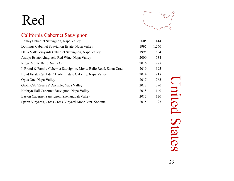

#### California Cabernet Sauvignon

| Ramey Cabernet Sauvignon, Napa Valley                              | 2005 | 414   |
|--------------------------------------------------------------------|------|-------|
| Dominus Cabernet Sauvignon Estate, Napa Valley                     | 1995 | 1,260 |
| Dalla Valle Vinyards Cabernet Sauvignon, Napa Valley               | 1995 | 834   |
| Araujo Estate Altagracia Red Wine, Napa Valley                     | 2000 | 534   |
| Ridge Monte Bello, Santa Cruz                                      | 2016 | 978   |
| I. Brand & Family Cabernet Sauvignon, Monte Bello Road, Santa Cruz | 2019 | 195   |
| Bond Estates 'St. Eden' Harlen Estate Oakville, Napa Valley        | 2014 | 918   |
| Opus One, Napa Valley                                              | 2017 | 765   |
| Groth Cab 'Reserve' Oakville, Napa Valley                          | 2012 | 290   |
| Kathryn Hall Cabernet Sauvignon, Napa Valley                       | 2018 | 140   |
| Easton Cabernet Sauvignon, Shenandoah Valley                       | 2012 | 120   |
| Spann Vinyards, Cross Creek Vinyard-Moon Mnt. Sonoma               | 2015 | 95    |

United States **United States**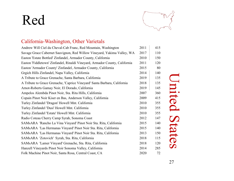

#### California-Washington, Other Varietals

| Andrew Will Ciel du Cheval-Cab Franc, Red Mountain, Washington              | 2011 | 415 |
|-----------------------------------------------------------------------------|------|-----|
| Savage Grace Cabernet Sauvignon, Red Willow Vineyard, Yakima Valley, WA     | 2017 | 110 |
| Easton 'Estate Bottled' Zinfandel, Armador County, California               | 2010 | 150 |
| Easton 'Fiddletown' Zinfandel, Rinaldi Vineyard, Armador County, California | 2011 | 120 |
| Easton 'Armador County' Zinfandel, Armador County, California               | 2015 | 80  |
| Grgich Hills Zinfandel, Napa Valley, California                             | 2014 | 140 |
| A Tribute to Grace Grenache, Santa Barbara, California                      | 2019 | 135 |
| A Tribute to Grace Grenache, 'Caprice Vineyard' Santa Barbara, California   | 2018 | 135 |
| Arnot-Roberts Gamay Noir, El Dorado, California                             | 2019 | 145 |
| Ampelos Alembda Pinot Noir, Sta. Rita Hills, California                     | 2007 | 360 |
| Copain Pinot Noir Kiser en Bas, Anderson Valley, California                 | 2009 | 415 |
| Turley Zinfandel 'Dragon' Howell Mnt. California                            | 2010 | 355 |
| Turley Zinfandel 'Dusi' Howell Mnt. California                              | 2010 | 355 |
| Turley Zinfandel 'Estate' Howell Mnt. California                            | 2010 | 355 |
| Radio Coteau Cherry Camp Syrah, Sonoma Coast                                | 2012 | 147 |
| SAMsARA 'Rancho La Vina Vinyard' Pinot Noir Sta. Rita, California           | 2015 | 140 |
| SAMsARA 'Las Hermanas Vinyard' Pinot Noir Sta. Rita, California             | 2015 | 140 |
| SAMsARA 'Las Hermanas Vinyard' Pinot Noir Sta. Rita, California             | 2013 | 150 |
| SAMsARA 'Zotovich' Syrah, Sta. Rita, California                             | 2018 | 115 |
| SAMsARA 'Lamer Vinyard' Grenache, Sta. Rita, California                     | 2018 | 120 |
| Hanzell Vineyards Pinot Noir Sonoma Valley, California                      | 2014 | 285 |
| Folk Machine Pinot Noir, Santa Rosa, Central Coast, CA                      | 2020 | 72  |

United States **United States**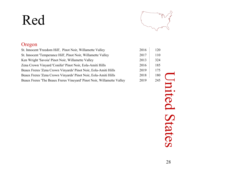

#### Oregon

| St. Innocent 'Freedom Hill', Pinot Noir, Willamette Valley             | 2016 | 120 |
|------------------------------------------------------------------------|------|-----|
| St. Innocent 'Temperance Hill', Pinot Noir, Willamette Valley          | 2017 | 110 |
| Ken Wright 'Savoia' Pinot Noir, Willamette Valley                      | 2013 | 324 |
| Zena Crown Vinyard 'Conifer' Pinot Noir, Eola-Amiti Hills              | 2016 | 185 |
| Beaux Freres 'Zena Crown Vinyards' Pinot Noir, Eola-Amiti Hills        | 2019 | 175 |
| Beaux Freres 'Zena Crown Vinyards' Pinot Noir, Eola-Amiti Hills        | 2018 | 180 |
| Beaux Freres 'The Beaux Freres Vineyard' Pinot Noir, Willamette Valley | 2019 | 245 |

United States **United States**